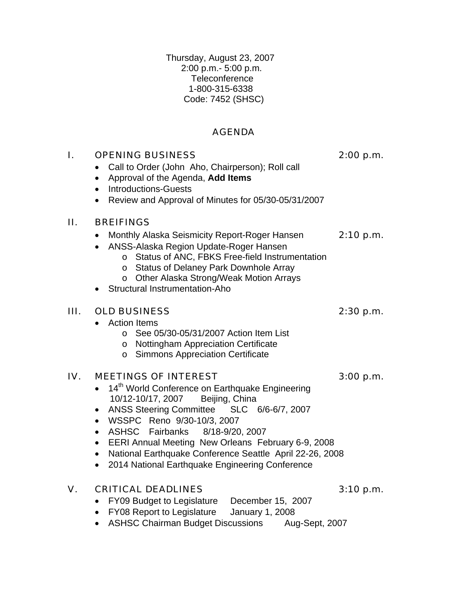Thursday, August 23, 2007 2:00 p.m.- 5:00 p.m. Teleconference 1-800-315-6338 Code: 7452 (SHSC)

# AGENDA

| I.  | <b>OPENING BUSINESS</b><br>Call to Order (John Aho, Chairperson); Roll call<br>Approval of the Agenda, Add Items<br>$\bullet$<br><b>Introductions-Guests</b><br>$\bullet$<br>Review and Approval of Minutes for 05/30-05/31/2007<br>$\bullet$                                                                                                                                                                                                                                         | 2:00 p.m.   |
|-----|---------------------------------------------------------------------------------------------------------------------------------------------------------------------------------------------------------------------------------------------------------------------------------------------------------------------------------------------------------------------------------------------------------------------------------------------------------------------------------------|-------------|
| П.  | <b>BREIFINGS</b><br>Monthly Alaska Seismicity Report-Roger Hansen<br>ANSS-Alaska Region Update-Roger Hansen<br>Status of ANC, FBKS Free-field Instrumentation<br>$\circ$<br>o Status of Delaney Park Downhole Array<br>o Other Alaska Strong/Weak Motion Arrays<br>Structural Instrumentation-Aho                                                                                                                                                                                     | 2:10 p.m.   |
| Ш.  | <b>OLD BUSINESS</b><br><b>Action Items</b><br>See 05/30-05/31/2007 Action Item List<br>$\circ$<br>o Nottingham Appreciation Certificate<br><b>Simmons Appreciation Certificate</b><br>$\circ$                                                                                                                                                                                                                                                                                         | $2:30$ p.m. |
| IV. | <b>MEETINGS OF INTEREST</b><br>14 <sup>th</sup> World Conference on Earthquake Engineering<br>Beijing, China<br>10/12-10/17, 2007<br>ANSS Steering Committee SLC 6/6-6/7, 2007<br>WSSPC Reno 9/30-10/3, 2007<br>$\bullet$<br>ASHSC Fairbanks 8/18-9/20, 2007<br>$\bullet$<br>EERI Annual Meeting New Orleans February 6-9, 2008<br>$\bullet$<br>National Earthquake Conference Seattle April 22-26, 2008<br>$\bullet$<br>2014 National Earthquake Engineering Conference<br>$\bullet$ | 3:00 p.m.   |
| V.  | <b>CRITICAL DEADLINES</b>                                                                                                                                                                                                                                                                                                                                                                                                                                                             | 3:10 p.m.   |

- FY09 Budget to Legislature December 15, 2007
- FY08 Report to Legislature January 1, 2008
- ASHSC Chairman Budget Discussions Aug-Sept, 2007